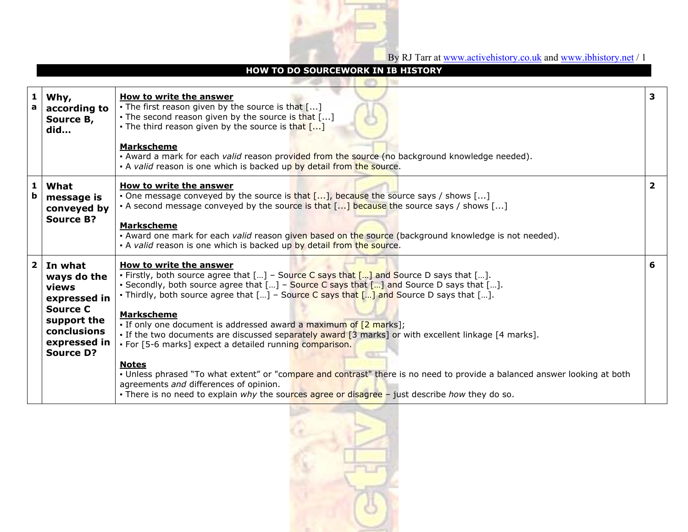

By RJ Tarr at www.activehistory.co.uk and www.ibhistory.net / 1

|                  | <b>HOW TO DO SOURCEWORK IN IB HISTORY</b>                                                                                            |                                                                                                                                                                                                                                                                                                                                                                                                                                                                                                                                                                                                                                                                                                                                                                                                                                                                                                      |                         |  |  |  |  |  |  |
|------------------|--------------------------------------------------------------------------------------------------------------------------------------|------------------------------------------------------------------------------------------------------------------------------------------------------------------------------------------------------------------------------------------------------------------------------------------------------------------------------------------------------------------------------------------------------------------------------------------------------------------------------------------------------------------------------------------------------------------------------------------------------------------------------------------------------------------------------------------------------------------------------------------------------------------------------------------------------------------------------------------------------------------------------------------------------|-------------------------|--|--|--|--|--|--|
| 1<br>a           | Why,<br>according to<br>Source B,<br>did                                                                                             | <b>How to write the answer</b><br>• The first reason given by the source is that $\lceil  \rceil$<br>. The second reason given by the source is that []<br>• The third reason given by the source is that $\lceil  \rceil$<br><b>Markscheme</b><br>- Award a mark for each valid reason provided from the source (no background knowledge needed).<br>• A valid reason is one which is backed up by detail from the source.                                                                                                                                                                                                                                                                                                                                                                                                                                                                          | 3                       |  |  |  |  |  |  |
| 1<br>$\mathbf b$ | What<br>message is<br>conveyed by<br><b>Source B?</b>                                                                                | How to write the answer<br>. One message conveyed by the source is that [], because the source says / shows []<br>• A second message conveyed by the source is that $[]$ because the source says / shows $[]$<br><b>Markscheme</b><br>- Award one mark for each valid reason given based on the source (background knowledge is not needed).<br>• A valid reason is one which is backed up by detail from the source.                                                                                                                                                                                                                                                                                                                                                                                                                                                                                | $\overline{\mathbf{2}}$ |  |  |  |  |  |  |
| $\mathbf{2}$     | In what<br>ways do the<br>views<br>expressed in<br><b>Source C</b><br>support the<br>conclusions<br>expressed in<br><b>Source D?</b> | How to write the answer<br>• Firstly, both source agree that $[]$ – Source C says that $[]$ and Source D says that $[]$ .<br>- Secondly, both source agree that $[]$ – Source C says that $[]$ and Source D says that $[]$ .<br>• Thirdly, both source agree that $[\dots]$ – Source C says that $[\dots]$ and Source D says that $[\dots]$ .<br><b>Markscheme</b><br>. If only one document is addressed award a maximum of [2 marks];<br>. If the two documents are discussed separately award [3 marks] or with excellent linkage [4 marks].<br>• For [5-6 marks] expect a detailed running comparison.<br><b>Notes</b><br>- Unless phrased "To what extent" or "compare and contrast" there is no need to provide a balanced answer looking at both<br>agreements and differences of opinion.<br>- There is no need to explain why the sources agree or disagree - just describe how they do so. | 6                       |  |  |  |  |  |  |

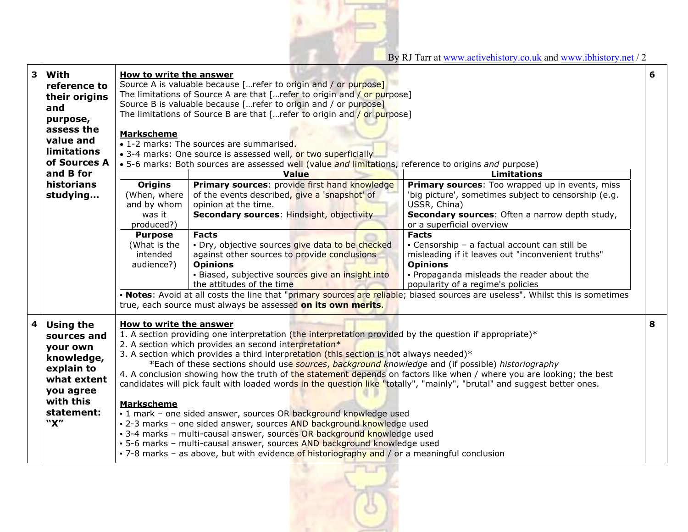By RJ Tarr at www.activehistory.co.uk and www.ibhistory.net / 2

| 3                                                                                                                              | With<br>reference to<br>their origins<br>and<br>purpose,<br>assess the<br>value and<br><b>limitations</b><br>of Sources A             | <b>How to write the answer</b><br>Source A is valuable because [refer to origin and / or purpose]<br>The limitations of Source A are that [refer to origin and / or purpose]<br>Source B is valuable because [refer to origin and / or purpose]<br>The limitations of Source B are that [refer to origin and / or purpose]<br><b>Markscheme</b><br>• 1-2 marks: The sources are summarised.<br>• 3-4 marks: One source is assessed well, or two superficially<br>. 5-6 marks: Both sources are assessed well (value and limitations, reference to origins and purpose)                                                                                                                                                                                                                                                                                                                                                                                                                                                                                                                                                                            |                                                                                                                                                                                                                       |                                                                                                                                                                                                                          | 6 |
|--------------------------------------------------------------------------------------------------------------------------------|---------------------------------------------------------------------------------------------------------------------------------------|---------------------------------------------------------------------------------------------------------------------------------------------------------------------------------------------------------------------------------------------------------------------------------------------------------------------------------------------------------------------------------------------------------------------------------------------------------------------------------------------------------------------------------------------------------------------------------------------------------------------------------------------------------------------------------------------------------------------------------------------------------------------------------------------------------------------------------------------------------------------------------------------------------------------------------------------------------------------------------------------------------------------------------------------------------------------------------------------------------------------------------------------------|-----------------------------------------------------------------------------------------------------------------------------------------------------------------------------------------------------------------------|--------------------------------------------------------------------------------------------------------------------------------------------------------------------------------------------------------------------------|---|
|                                                                                                                                | and B for                                                                                                                             |                                                                                                                                                                                                                                                                                                                                                                                                                                                                                                                                                                                                                                                                                                                                                                                                                                                                                                                                                                                                                                                                                                                                                   | Value                                                                                                                                                                                                                 | <b>Limitations</b>                                                                                                                                                                                                       |   |
|                                                                                                                                | historians<br>studying                                                                                                                | <b>Origins</b><br>(When, where<br>and by whom<br>was it<br>produced?)                                                                                                                                                                                                                                                                                                                                                                                                                                                                                                                                                                                                                                                                                                                                                                                                                                                                                                                                                                                                                                                                             | Primary sources: provide first hand knowledge<br>of the events described, give a 'snapshot' of<br>opinion at the time.<br><b>Secondary sources: Hindsight, objectivity</b>                                            | Primary sources: Too wrapped up in events, miss<br>'big picture', sometimes subject to censorship (e.g.<br>USSR, China)<br>Secondary sources: Often a narrow depth study,<br>or a superficial overview                   |   |
|                                                                                                                                |                                                                                                                                       | <b>Purpose</b><br>(What is the<br>intended<br>audience?)                                                                                                                                                                                                                                                                                                                                                                                                                                                                                                                                                                                                                                                                                                                                                                                                                                                                                                                                                                                                                                                                                          | <b>Facts</b><br>· Dry, objective sources give data to be checked<br>against other sources to provide conclusions<br><b>Opinions</b><br>· Biased, subjective sources give an insight into<br>the attitudes of the time | <b>Facts</b><br>- Censorship - a factual account can still be<br>misleading if it leaves out "inconvenient truths"<br><b>Opinions</b><br>. Propaganda misleads the reader about the<br>popularity of a regime's policies |   |
| • Notes: Avoid at all costs the line that "primary sources are reliable; biased sources are useless". Whilst this is sometimes |                                                                                                                                       |                                                                                                                                                                                                                                                                                                                                                                                                                                                                                                                                                                                                                                                                                                                                                                                                                                                                                                                                                                                                                                                                                                                                                   |                                                                                                                                                                                                                       |                                                                                                                                                                                                                          |   |
| 4                                                                                                                              | <b>Using the</b><br>sources and<br>your own<br>knowledge,<br>explain to<br>what extent<br>you agree<br>with this<br>statement:<br>"X" | true, each source must always be assessed on its own merits.<br><b>How to write the answer</b><br>1. A section providing one interpretation (the interpretation provided by the question if appropriate)*<br>2. A section which provides an second interpretation*<br>3. A section which provides a third interpretation (this section is not always needed)*<br>*Each of these sections should use sources, background knowledge and (if possible) historiography<br>4. A conclusion showing how the truth of the statement depends on factors like when / where you are looking; the best<br>candidates will pick fault with loaded words in the question like "totally", "mainly", "brutal" and suggest better ones.<br><b>Markscheme</b><br>- 1 mark - one sided answer, sources OR background knowledge used<br>- 2-3 marks - one sided answer, sources AND background knowledge used<br>- 3-4 marks - multi-causal answer, sources OR background knowledge used<br>- 5-6 marks - multi-causal answer, sources AND background knowledge used<br>- 7-8 marks - as above, but with evidence of historiography and / or a meaningful conclusion |                                                                                                                                                                                                                       |                                                                                                                                                                                                                          |   |